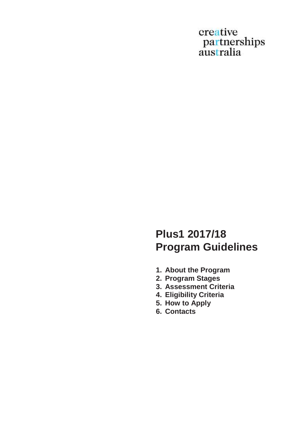creative partnerships<br>australia

# **Plus1 2017/18 Program Guidelines**

- **1. About the Program**
- **2. Program Stages**
- **3. Assessment Criteria**
- **4. Eligibility Criteria**
- **5. How to Apply**
- **6. Contacts**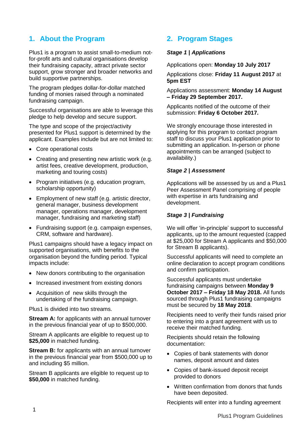# **1. About the Program**

Plus1 is a program to assist small-to-medium notfor-profit arts and cultural organisations develop their fundraising capacity, attract private sector support, grow stronger and broader networks and build supportive partnerships.

The program pledges dollar-for-dollar matched funding of monies raised through a nominated fundraising campaign.

Successful organisations are able to leverage this pledge to help develop and secure support.

The type and scope of the project/activity presented for Plus1 support is determined by the applicant. Examples include but are not limited to:

- Core operational costs
- Creating and presenting new artistic work (e.g. artist fees, creative development, production, marketing and touring costs)
- Program initiatives (e.g. education program, scholarship opportunity)
- Employment of new staff (e.g. artistic director, general manager, business development manager, operations manager, development manager, fundraising and marketing staff)
- Fundraising support (e.g. campaign expenses, CRM, software and hardware).

Plus1 campaigns should have a legacy impact on supported organisations, with benefits to the organisation beyond the funding period. Typical impacts include:

- New donors contributing to the organisation
- Increased investment from existing donors
- Acquisition of new skills through the undertaking of the fundraising campaign.

Plus1 is divided into two streams.

**Stream A:** for applicants with an annual turnover in the previous financial year of up to \$500,000.

Stream A applicants are eligible to request up to **\$25,000** in matched funding.

**Stream B:** for applicants with an annual turnover in the previous financial year from \$500,000 up to and including \$5 million.

Stream B applicants are eligible to request up to **\$50,000** in matched funding.

# **2. Program Stages**

#### *Stage 1 | Applications*

Applications open: **Monday 10 July 2017**

Applications close: **Friday 11 August 2017** at **5pm EST**

Applications assessment: **Monday 14 August – Friday 29 September 2017.**

Applicants notified of the outcome of their submission: **Friday 6 October 2017.**

We strongly encourage those interested in applying for this program to contact program staff to discuss your Plus1 application prior to submitting an application. In-person or phone appointments can be arranged (subject to availability.)

#### *Stage 2 | Assessment*

Applications will be assessed by us and a Plus1 Peer Assessment Panel comprising of people with expertise in arts fundraising and development.

#### *Stage 3 | Fundraising*

We will offer 'in-principle' support to successful applicants, up to the amount requested (capped at \$25,000 for Stream A applicants and \$50,000 for Stream B applicants).

Successful applicants will need to complete an online declaration to accept program conditions and confirm participation.

Successful applicants must undertake fundraising campaigns between **Monday 9 October 2017 – Friday 18 May 2018.** All funds sourced through Plus1 fundraising campaigns must be secured by **18 May 2018**.

Recipients need to verify their funds raised prior to entering into a grant agreement with us to receive their matched funding.

Recipients should retain the following documentation:

- Copies of bank statements with donor names, deposit amount and dates
- Copies of bank-issued deposit receipt provided to donors
- Written confirmation from donors that funds have been deposited.

Recipients will enter into a funding agreement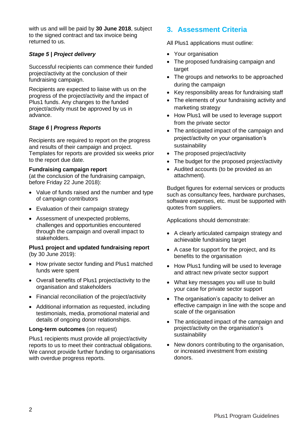with us and will be paid by **30 June 2018**, subject to the signed contract and tax invoice being returned to us.

### *Stage 5 | Project delivery*

Successful recipients can commence their funded project/activity at the conclusion of their fundraising campaign.

Recipients are expected to liaise with us on the progress of the project/activity and the impact of Plus1 funds. Any changes to the funded project/activity must be approved by us in advance.

#### *Stage 6 | Progress Reports*

Recipients are required to report on the progress and results of their campaign and project. Templates for reports are provided six weeks prior to the report due date.

#### **Fundraising campaign report**

(at the conclusion of the fundraising campaign, before Friday 22 June 2018):

- Value of funds raised and the number and type of campaign contributors
- Evaluation of their campaign strategy
- Assessment of unexpected problems, challenges and opportunities encountered through the campaign and overall impact to stakeholders.

#### **Plus1 project and updated fundraising report**  (by 30 June 2019):

- How private sector funding and Plus1 matched funds were spent
- Overall benefits of Plus1 project/activity to the organisation and stakeholders
- Financial reconciliation of the project/activity
- Additional information as requested, including testimonials, media, promotional material and details of ongoing donor relationships.

#### **Long-term outcomes** (on request)

Plus1 recipients must provide all project/activity reports to us to meet their contractual obligations. We cannot provide further funding to organisations with overdue progress reports.

# **3. Assessment Criteria**

All Plus1 applications must outline:

- Your organisation
- The proposed fundraising campaign and target
- The groups and networks to be approached during the campaign
- Key responsibility areas for fundraising staff
- The elements of your fundraising activity and marketing strategy
- How Plus1 will be used to leverage support from the private sector
- The anticipated impact of the campaign and project/activity on your organisation's sustainability
- The proposed project/activity
- The budget for the proposed project/activity
- Audited accounts (to be provided as an attachment).

Budget figures for external services or products such as consultancy fees, hardware purchases, software expenses, etc. must be supported with quotes from suppliers.

Applications should demonstrate:

- A clearly articulated campaign strategy and achievable fundraising target
- A case for support for the project, and its benefits to the organisation
- How Plus1 funding will be used to leverage and attract new private sector support
- What key messages you will use to build your case for private sector support
- The organisation's capacity to deliver an effective campaign in line with the scope and scale of the organisation
- The anticipated impact of the campaign and project/activity on the organisation's sustainability
- New donors contributing to the organisation, or increased investment from existing donors.